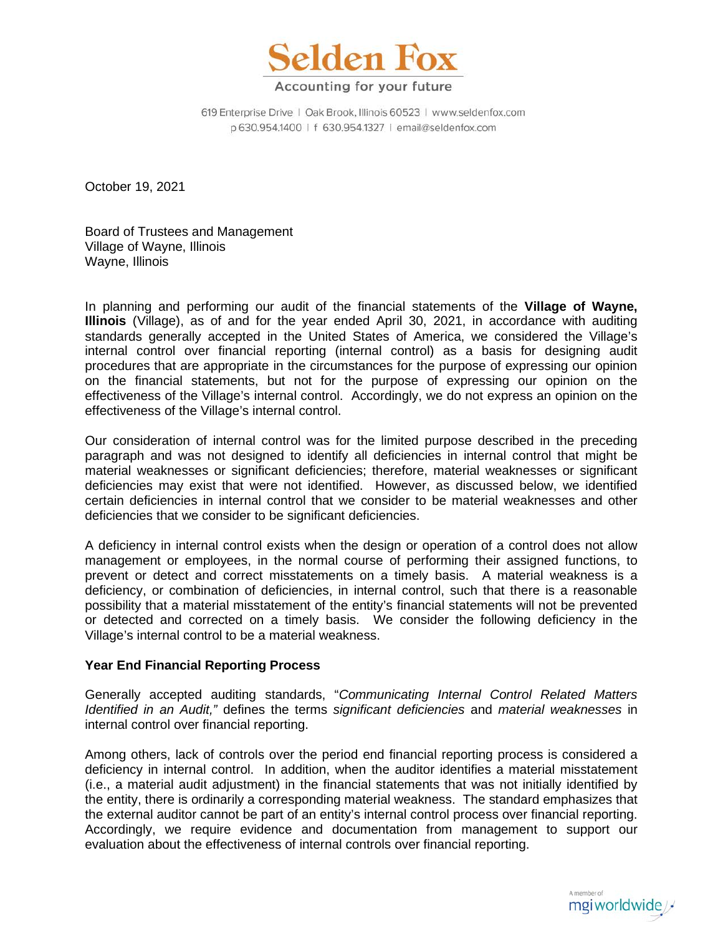

619 Enterprise Drive | Oak Brook, Illinois 60523 | www.seldenfox.com p 630.954.1400 | f 630.954.1327 | email@seldenfox.com

October 19, 2021

Board of Trustees and Management Village of Wayne, Illinois Wayne, Illinois

In planning and performing our audit of the financial statements of the **Village of Wayne, Illinois** (Village), as of and for the year ended April 30, 2021, in accordance with auditing standards generally accepted in the United States of America, we considered the Village's internal control over financial reporting (internal control) as a basis for designing audit procedures that are appropriate in the circumstances for the purpose of expressing our opinion on the financial statements, but not for the purpose of expressing our opinion on the effectiveness of the Village's internal control. Accordingly, we do not express an opinion on the effectiveness of the Village's internal control.

Our consideration of internal control was for the limited purpose described in the preceding paragraph and was not designed to identify all deficiencies in internal control that might be material weaknesses or significant deficiencies; therefore, material weaknesses or significant deficiencies may exist that were not identified. However, as discussed below, we identified certain deficiencies in internal control that we consider to be material weaknesses and other deficiencies that we consider to be significant deficiencies.

A deficiency in internal control exists when the design or operation of a control does not allow management or employees, in the normal course of performing their assigned functions, to prevent or detect and correct misstatements on a timely basis. A material weakness is a deficiency, or combination of deficiencies, in internal control, such that there is a reasonable possibility that a material misstatement of the entity's financial statements will not be prevented or detected and corrected on a timely basis. We consider the following deficiency in the Village's internal control to be a material weakness.

### **Year End Financial Reporting Process**

Generally accepted auditing standards, "*Communicating Internal Control Related Matters Identified in an Audit,"* defines the terms *significant deficiencies* and *material weaknesses* in internal control over financial reporting.

Among others, lack of controls over the period end financial reporting process is considered a deficiency in internal control. In addition, when the auditor identifies a material misstatement (i.e., a material audit adjustment) in the financial statements that was not initially identified by the entity, there is ordinarily a corresponding material weakness. The standard emphasizes that the external auditor cannot be part of an entity's internal control process over financial reporting. Accordingly, we require evidence and documentation from management to support our evaluation about the effectiveness of internal controls over financial reporting.

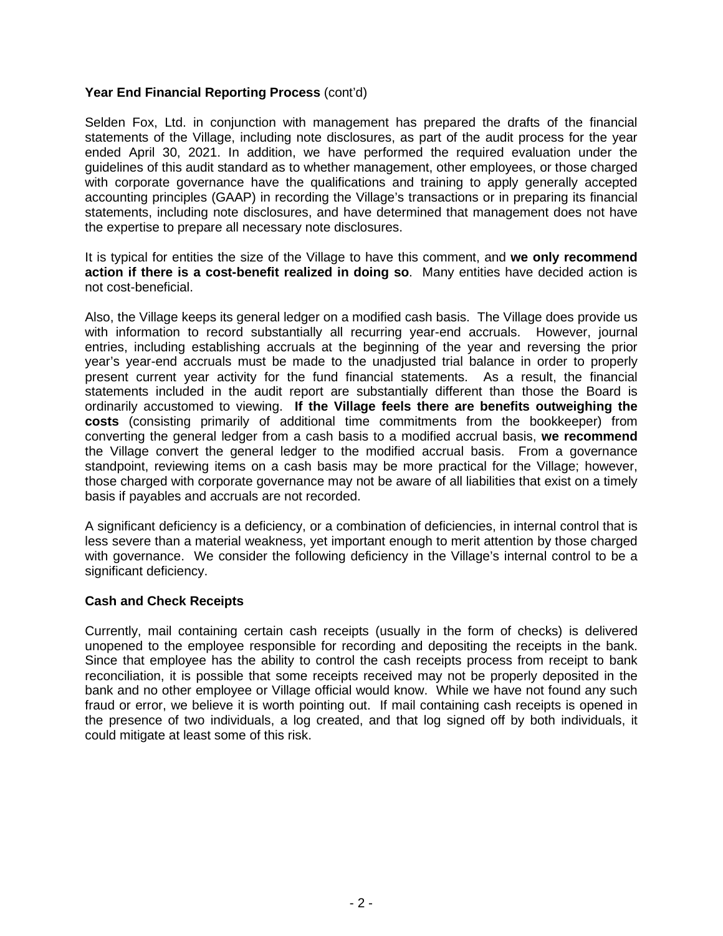# **Year End Financial Reporting Process** (cont'd)

Selden Fox, Ltd. in conjunction with management has prepared the drafts of the financial statements of the Village, including note disclosures, as part of the audit process for the year ended April 30, 2021. In addition, we have performed the required evaluation under the guidelines of this audit standard as to whether management, other employees, or those charged with corporate governance have the qualifications and training to apply generally accepted accounting principles (GAAP) in recording the Village's transactions or in preparing its financial statements, including note disclosures, and have determined that management does not have the expertise to prepare all necessary note disclosures.

It is typical for entities the size of the Village to have this comment, and **we only recommend action if there is a cost-benefit realized in doing so**. Many entities have decided action is not cost-beneficial.

Also, the Village keeps its general ledger on a modified cash basis. The Village does provide us with information to record substantially all recurring year-end accruals. However, journal entries, including establishing accruals at the beginning of the year and reversing the prior year's year-end accruals must be made to the unadjusted trial balance in order to properly present current year activity for the fund financial statements. As a result, the financial statements included in the audit report are substantially different than those the Board is ordinarily accustomed to viewing. **If the Village feels there are benefits outweighing the costs** (consisting primarily of additional time commitments from the bookkeeper) from converting the general ledger from a cash basis to a modified accrual basis, **we recommend**  the Village convert the general ledger to the modified accrual basis. From a governance standpoint, reviewing items on a cash basis may be more practical for the Village; however, those charged with corporate governance may not be aware of all liabilities that exist on a timely basis if payables and accruals are not recorded.

A significant deficiency is a deficiency, or a combination of deficiencies, in internal control that is less severe than a material weakness, yet important enough to merit attention by those charged with governance. We consider the following deficiency in the Village's internal control to be a significant deficiency.

### **Cash and Check Receipts**

Currently, mail containing certain cash receipts (usually in the form of checks) is delivered unopened to the employee responsible for recording and depositing the receipts in the bank. Since that employee has the ability to control the cash receipts process from receipt to bank reconciliation, it is possible that some receipts received may not be properly deposited in the bank and no other employee or Village official would know. While we have not found any such fraud or error, we believe it is worth pointing out. If mail containing cash receipts is opened in the presence of two individuals, a log created, and that log signed off by both individuals, it could mitigate at least some of this risk.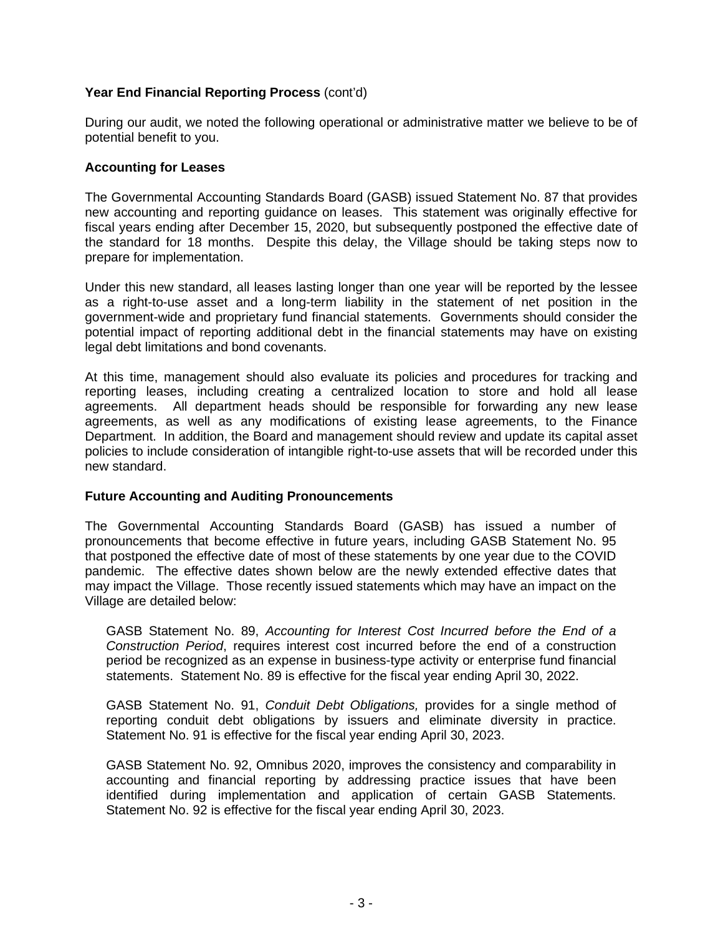# **Year End Financial Reporting Process** (cont'd)

During our audit, we noted the following operational or administrative matter we believe to be of potential benefit to you.

#### **Accounting for Leases**

The Governmental Accounting Standards Board (GASB) issued Statement No. 87 that provides new accounting and reporting guidance on leases. This statement was originally effective for fiscal years ending after December 15, 2020, but subsequently postponed the effective date of the standard for 18 months. Despite this delay, the Village should be taking steps now to prepare for implementation.

Under this new standard, all leases lasting longer than one year will be reported by the lessee as a right-to-use asset and a long-term liability in the statement of net position in the government-wide and proprietary fund financial statements. Governments should consider the potential impact of reporting additional debt in the financial statements may have on existing legal debt limitations and bond covenants.

At this time, management should also evaluate its policies and procedures for tracking and reporting leases, including creating a centralized location to store and hold all lease agreements. All department heads should be responsible for forwarding any new lease agreements, as well as any modifications of existing lease agreements, to the Finance Department. In addition, the Board and management should review and update its capital asset policies to include consideration of intangible right-to-use assets that will be recorded under this new standard.

### **Future Accounting and Auditing Pronouncements**

The Governmental Accounting Standards Board (GASB) has issued a number of pronouncements that become effective in future years, including GASB Statement No. 95 that postponed the effective date of most of these statements by one year due to the COVID pandemic. The effective dates shown below are the newly extended effective dates that may impact the Village. Those recently issued statements which may have an impact on the Village are detailed below:

GASB Statement No. 89, *Accounting for Interest Cost Incurred before the End of a Construction Period*, requires interest cost incurred before the end of a construction period be recognized as an expense in business-type activity or enterprise fund financial statements. Statement No. 89 is effective for the fiscal year ending April 30, 2022.

GASB Statement No. 91, *Conduit Debt Obligations,* provides for a single method of reporting conduit debt obligations by issuers and eliminate diversity in practice. Statement No. 91 is effective for the fiscal year ending April 30, 2023.

GASB Statement No. 92, Omnibus 2020, improves the consistency and comparability in accounting and financial reporting by addressing practice issues that have been identified during implementation and application of certain GASB Statements. Statement No. 92 is effective for the fiscal year ending April 30, 2023.